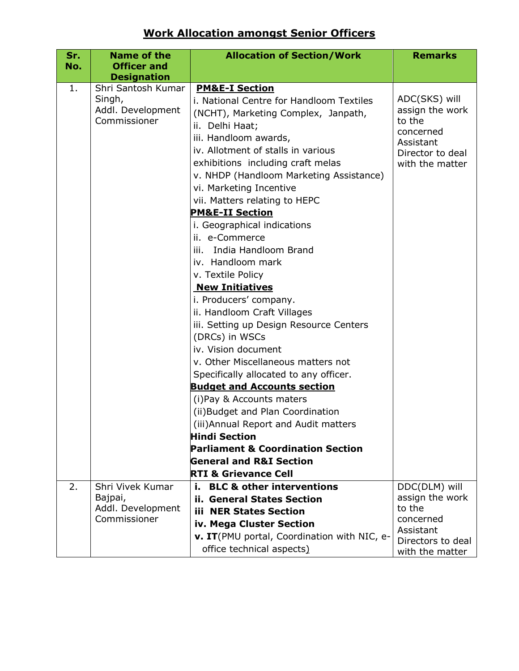## **Work Allocation amongst Senior Officers**

| Sr. | <b>Name of the</b>                                                | <b>Allocation of Section/Work</b>                                                                                                                                                                                                                                                                                                                                                                                                                                                                                                                                                                                                                                                                                                                                                                                                                                                                           | <b>Remarks</b>                                                                                              |
|-----|-------------------------------------------------------------------|-------------------------------------------------------------------------------------------------------------------------------------------------------------------------------------------------------------------------------------------------------------------------------------------------------------------------------------------------------------------------------------------------------------------------------------------------------------------------------------------------------------------------------------------------------------------------------------------------------------------------------------------------------------------------------------------------------------------------------------------------------------------------------------------------------------------------------------------------------------------------------------------------------------|-------------------------------------------------------------------------------------------------------------|
| No. | <b>Officer and</b>                                                |                                                                                                                                                                                                                                                                                                                                                                                                                                                                                                                                                                                                                                                                                                                                                                                                                                                                                                             |                                                                                                             |
|     | <b>Designation</b>                                                |                                                                                                                                                                                                                                                                                                                                                                                                                                                                                                                                                                                                                                                                                                                                                                                                                                                                                                             |                                                                                                             |
| 1.  | Shri Santosh Kumar<br>Singh,<br>Addl. Development<br>Commissioner | <b>PM&amp;E-I Section</b><br>i. National Centre for Handloom Textiles<br>(NCHT), Marketing Complex, Janpath,<br>ii. Delhi Haat;<br>iii. Handloom awards,<br>iv. Allotment of stalls in various<br>exhibitions including craft melas<br>v. NHDP (Handloom Marketing Assistance)<br>vi. Marketing Incentive<br>vii. Matters relating to HEPC<br><b>PM&amp;E-II Section</b><br>i. Geographical indications<br>ii. e-Commerce<br>India Handloom Brand<br>iii.<br>iv. Handloom mark<br>v. Textile Policy<br><b>New Initiatives</b><br>i. Producers' company.<br>ii. Handloom Craft Villages<br>iii. Setting up Design Resource Centers<br>(DRCs) in WSCs<br>iv. Vision document<br>v. Other Miscellaneous matters not<br>Specifically allocated to any officer.<br><b>Budget and Accounts section</b><br>(i) Pay & Accounts maters<br>(ii) Budget and Plan Coordination<br>(iii) Annual Report and Audit matters | ADC(SKS) will<br>assign the work<br>to the<br>concerned<br>Assistant<br>Director to deal<br>with the matter |
|     |                                                                   | <b>Hindi Section</b>                                                                                                                                                                                                                                                                                                                                                                                                                                                                                                                                                                                                                                                                                                                                                                                                                                                                                        |                                                                                                             |
|     |                                                                   | Parliament & Coordination Section                                                                                                                                                                                                                                                                                                                                                                                                                                                                                                                                                                                                                                                                                                                                                                                                                                                                           |                                                                                                             |
|     |                                                                   | <b>General and R&amp;I Section</b>                                                                                                                                                                                                                                                                                                                                                                                                                                                                                                                                                                                                                                                                                                                                                                                                                                                                          |                                                                                                             |
|     |                                                                   | <b>RTI &amp; Grievance Cell</b>                                                                                                                                                                                                                                                                                                                                                                                                                                                                                                                                                                                                                                                                                                                                                                                                                                                                             |                                                                                                             |
| 2.  | Shri Vivek Kumar                                                  | <b>BLC &amp; other interventions</b><br>i.,                                                                                                                                                                                                                                                                                                                                                                                                                                                                                                                                                                                                                                                                                                                                                                                                                                                                 | DDC(DLM) will                                                                                               |
|     | Bajpai,<br>Addl. Development                                      | ii. General States Section                                                                                                                                                                                                                                                                                                                                                                                                                                                                                                                                                                                                                                                                                                                                                                                                                                                                                  | assign the work<br>to the                                                                                   |
|     | Commissioner                                                      | <b>iii NER States Section</b>                                                                                                                                                                                                                                                                                                                                                                                                                                                                                                                                                                                                                                                                                                                                                                                                                                                                               | concerned                                                                                                   |
|     |                                                                   | iv. Mega Cluster Section                                                                                                                                                                                                                                                                                                                                                                                                                                                                                                                                                                                                                                                                                                                                                                                                                                                                                    | Assistant                                                                                                   |
|     |                                                                   | v. IT(PMU portal, Coordination with NIC, e-<br>office technical aspects)                                                                                                                                                                                                                                                                                                                                                                                                                                                                                                                                                                                                                                                                                                                                                                                                                                    | Directors to deal<br>with the matter                                                                        |